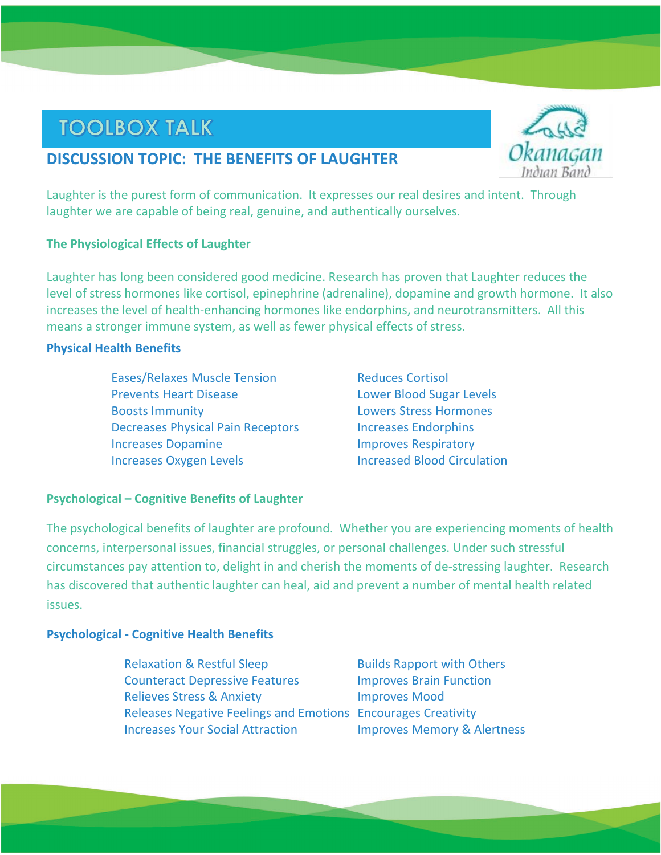# **TOOLBOX TALK**

# **DISCUSSION TOPIC: THE BENEFITS OF LAUGHTER**



Laughter is the purest form of communication. It expresses our real desires and intent. Through laughter we are capable of being real, genuine, and authentically ourselves.

#### **The Physiological Effects of Laughter**

Laughter has long been considered good medicine. Research has proven that Laughter reduces the level of stress hormones like cortisol, epinephrine (adrenaline), dopamine and growth hormone. It also increases the level of health-enhancing hormones like endorphins, and neurotransmitters. All this means a stronger immune system, as well as fewer physical effects of stress.

#### **Physical Health Benefits**

- Eases/Relaxes Muscle Tension The Reduces Cortisol Prevents Heart Disease Lower Blood Sugar Levels Boosts Immunity Lowers Stress Hormones Decreases Physical Pain Receptors **Increases Endorphins** Increases Dopamine **Improves Respiratory** Increases Oxygen Levels **Increased Blood Circulation** 
	-

### **Psychological – Cognitive Benefits of Laughter**

The psychological benefits of laughter are profound. Whether you are experiencing moments of health concerns, interpersonal issues, financial struggles, or personal challenges. Under such stressful circumstances pay attention to, delight in and cherish the moments of de-stressing laughter. Research has discovered that authentic laughter can heal, aid and prevent a number of mental health related issues.

#### **Psychological - Cognitive Health Benefits**

- Relaxation & Restful Sleep Builds Rapport with Others Counteract Depressive Features **Improves Brain Function** Relieves Stress & Anxiety **Improves Mood** Releases Negative Feelings and Emotions Encourages Creativity Increases Your Social Attraction Improves Memory & Alertness
-